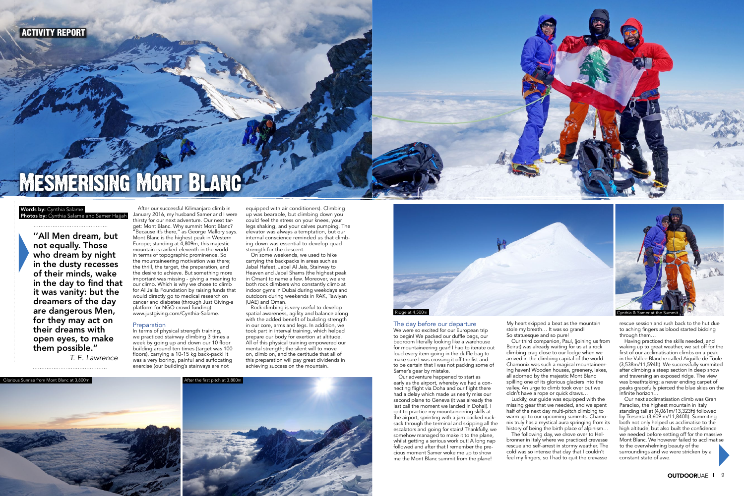

# MÉSMERISING MONT BLANC

### Photos by: Cynthia Salame and Samer Hajjah **Words by:** Cynthia Salame

''All Men dream, but not equally. Those who dream by night in the dusty recesses of their minds, wake in the day to find that it was vanity: but the dreamers of the day are dangerous Men, for they may act on their dreams with open eyes, to make them possible.''

T. E. Lawrence

After our successful Kilimanjaro climb in January 2016, my husband Samer and I were thirsty for our next adventure. Our next target: Mont Blanc. Why summit Mont Blanc? "Because it's there,'' as George Mallory says. Mont Blanc is the highest peak in Western Europe; standing at 4,809m, this majestic mountain is ranked eleventh in the world in terms of topographic prominence. So the mountaineering motivation was there; the thrill, the target, the preparation, and the desire to achieve. But something more important was missing - giving a meaning to our climb. Which is why we chose to climb for Al Jalila Foundation by raising funds that would directly go to medical research on cancer and diabetes (through Just Giving-a platform for NGO crowd funding): www.justgiving.com/Cynthia-Salame.

### Preparation

In terms of physical strength training, we practiced stairway climbing 3 times a week by going up and down our 10 floor building around ten times (target was 100 floors), carrying a 10-15 kg back-pack! It was a very boring, painful and suffocating exercise (our building's stairways are not

We were so excited for our European trip to begin! We packed our duffle bags, our bedroom literally looking like a warehouse for mountaineering gear! I had to iterate out loud every item going in the duffle bag to make sure I was crossing it off the list and to be certain that I was not packing some of Samer's gear by mistake.

equipped with air conditioners). Climbing up was bearable, but climbing down you could feel the stress on your knees, your legs shaking, and your calves pumping. The elevator was always a temptation, but our internal conscience reminded us that climbing down was essential to develop quad strength for the descent.

> My heart skipped a beat as the mountain stole my breath... It was so grand!

On some weekends, we used to hike carrying the backpacks in areas such as Jabal Hafeet, Jabal Al Jais, Stairway to Heaven and Jabal Shams (the highest peak in Oman) to name a few. Moreover, we are both rock climbers who constantly climb at indoor gyms in Dubai during weekdays and outdoors during weekends in RAK, Tawiyan (UAE) and Oman.

Rock climbing is very useful to develop spatial awareness, agility and balance along with the added benefit of building strength in our core, arms and legs. In addition, we took part in interval training, which helped prepare our body for exertion at altitude. All of this physical training empowered our mental strength; the silent will to move on, climb on, and the certitude that all of this preparation will pay great dividends in achieving success on the mountain.

# The day before our departure

Our adventure happened to start as early as the airport, whereby we had a connecting flight via Doha and our flight there had a delay which made us nearly miss our second plane to Geneva (it was already the last call the moment we landed in Doha!). I got to practice my mountaineering skills at the airport, sprinting with a jam packed rucksack through the terminal and skipping all the escalators and going for stairs! Thankfully, we somehow managed to make it to the plane, whilst getting a serious work out! A long nap followed and after that I remember the precious moment Samer woke me up to show me the Mont Blanc summit from the plane!

So statuesque and so pure! Our third companion, Paul, (joining us from Beirut) was already waiting for us at a rock climbing crag close to our lodge when we arrived in the climbing capital of the world. Chamonix was such a magical mountaineering haven! Wooden houses, greenery, lakes, all adorned by the majestic Mont Blanc spilling one of its glorious glaciers into the valley. An urge to climb took over but we didn't have a rope or quick draws…



Luckily, our guide was equipped with the missing gear that we needed, and we spent half of the next day multi-pitch climbing to warm up to our upcoming summits. Chamonix truly has a mystical aura springing from its history of being the birth place of alpinism… The following day, we drove over to Helbronner in Italy where we practiced crevasse rescue and self-arrest in stormy weather. The cold was so intense that day that I couldn't feel my fingers, so I had to quit the crevasse

rescue session and rush back to the hut due to aching fingers as blood started bidding through them…

Having practiced the skills needed, and waking up to great weather, we set off for the first of our acclimatisation climbs on a peak in the Vallee Blanche called Aiguille de Toule (3,538m/11,594ft). We successfully summited after climbing a steep section in deep snow and traversing an exposed ridge. The view was breathtaking; a never ending carpet of peaks gracefully pierced the blue skies on the infinite horizon…

Our next acclimatisation climb was Gran Paradiso, the highest mountain in Italy standing tall at (4,061m/13,323ft) followed by Tresenta (3,609 m/11,840ft). Summiting both not only helped us acclimatise to the high altitude, but also built the confidence we needed before setting off for the massive Mont Blanc. We however failed to acclimatise to the overwhelming beauty of the surroundings and we were stricken by a constant state of awe.